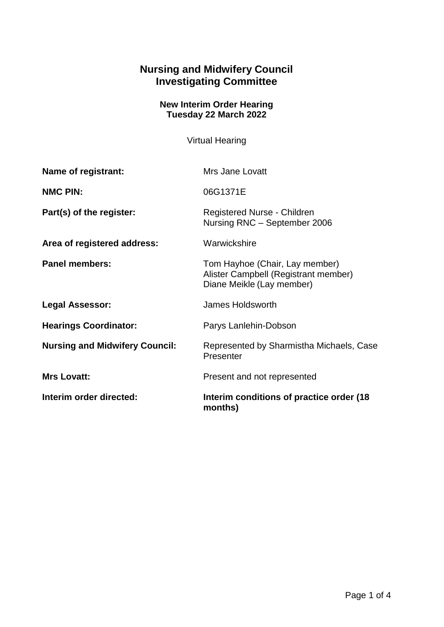## **Nursing and Midwifery Council Investigating Committee**

## **New Interim Order Hearing Tuesday 22 March 2022**

Virtual Hearing

| <b>Name of registrant:</b>            | Mrs Jane Lovatt                                                                                     |
|---------------------------------------|-----------------------------------------------------------------------------------------------------|
| <b>NMC PIN:</b>                       | 06G1371E                                                                                            |
| Part(s) of the register:              | Registered Nurse - Children<br>Nursing RNC - September 2006                                         |
| Area of registered address:           | Warwickshire                                                                                        |
| <b>Panel members:</b>                 | Tom Hayhoe (Chair, Lay member)<br>Alister Campbell (Registrant member)<br>Diane Meikle (Lay member) |
| <b>Legal Assessor:</b>                | James Holdsworth                                                                                    |
| <b>Hearings Coordinator:</b>          | Parys Lanlehin-Dobson                                                                               |
| <b>Nursing and Midwifery Council:</b> | Represented by Sharmistha Michaels, Case<br>Presenter                                               |
| <b>Mrs Lovatt:</b>                    | Present and not represented                                                                         |
| Interim order directed:               | Interim conditions of practice order (18)<br>months)                                                |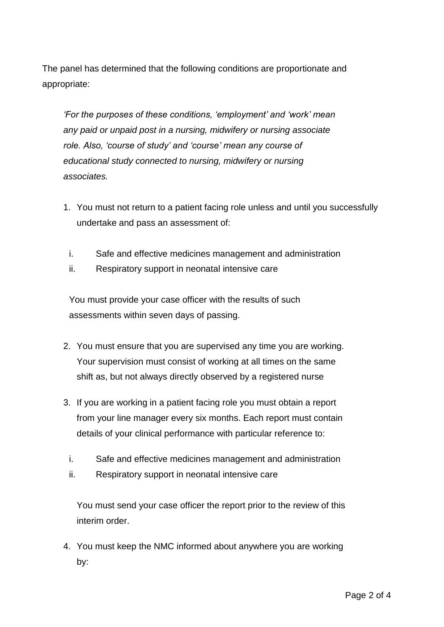The panel has determined that the following conditions are proportionate and appropriate:

*'For the purposes of these conditions, 'employment' and 'work' mean any paid or unpaid post in a nursing, midwifery or nursing associate role. Also, 'course of study' and 'course' mean any course of educational study connected to nursing, midwifery or nursing associates.*

- 1. You must not return to a patient facing role unless and until you successfully undertake and pass an assessment of:
	- i. Safe and effective medicines management and administration
	- ii. Respiratory support in neonatal intensive care

You must provide your case officer with the results of such assessments within seven days of passing.

- 2. You must ensure that you are supervised any time you are working. Your supervision must consist of working at all times on the same shift as, but not always directly observed by a registered nurse
- 3. If you are working in a patient facing role you must obtain a report from your line manager every six months. Each report must contain details of your clinical performance with particular reference to:
	- i. Safe and effective medicines management and administration
	- ii. Respiratory support in neonatal intensive care

You must send your case officer the report prior to the review of this interim order.

4. You must keep the NMC informed about anywhere you are working by: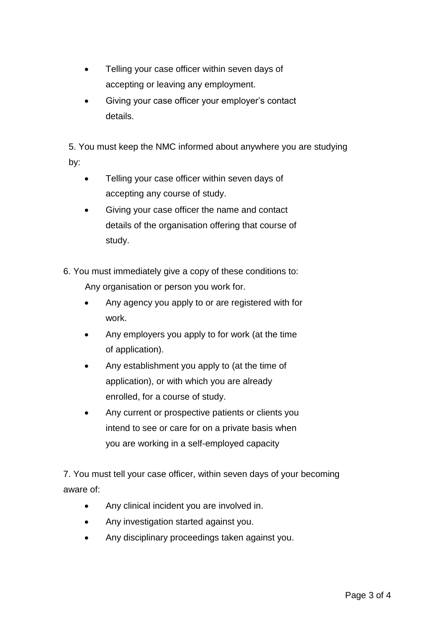- Telling your case officer within seven days of accepting or leaving any employment.
- Giving your case officer your employer's contact details.

5. You must keep the NMC informed about anywhere you are studying by:

- Telling your case officer within seven days of accepting any course of study.
- Giving your case officer the name and contact details of the organisation offering that course of study.

6. You must immediately give a copy of these conditions to: Any organisation or person you work for.

- Any agency you apply to or are registered with for work.
- Any employers you apply to for work (at the time of application).
- Any establishment you apply to (at the time of application), or with which you are already enrolled, for a course of study.
- Any current or prospective patients or clients you intend to see or care for on a private basis when you are working in a self-employed capacity

7. You must tell your case officer, within seven days of your becoming aware of:

- Any clinical incident you are involved in.
- Any investigation started against you.
- Any disciplinary proceedings taken against you.